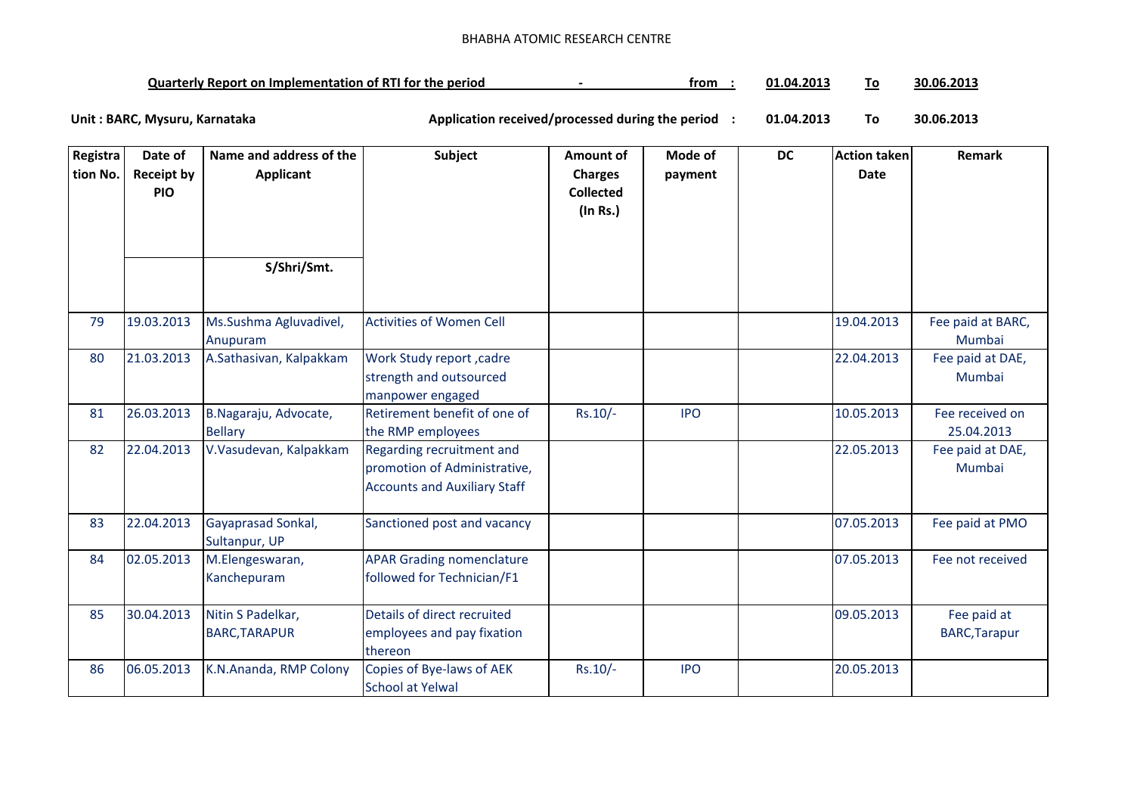## BHABHA ATOMIC RESEARCH CENTRE

| <b>Quarterly Report on Implementation of RTI for the period</b> |  | trom | 01.04.201. | ΙG | 30.06.2013 |
|-----------------------------------------------------------------|--|------|------------|----|------------|
|-----------------------------------------------------------------|--|------|------------|----|------------|

**01.04.2013 To 30.06.2013** Unit : BARC, Mysuru, Karnataka **Alexander State and Application received/processed during the period** :

| Registra | Date of                         | Name and address of the                   | Subject                                                                                          | Amount of                                      | Mode of    | <b>DC</b> | <b>Action taken</b> | Remark                              |
|----------|---------------------------------|-------------------------------------------|--------------------------------------------------------------------------------------------------|------------------------------------------------|------------|-----------|---------------------|-------------------------------------|
| tion No. | <b>Receipt by</b><br><b>PIO</b> | <b>Applicant</b>                          |                                                                                                  | <b>Charges</b><br><b>Collected</b><br>(In Rs.) | payment    |           | <b>Date</b>         |                                     |
|          |                                 | S/Shri/Smt.                               |                                                                                                  |                                                |            |           |                     |                                     |
| 79       | 19.03.2013                      | Ms.Sushma Agluvadivel,<br>Anupuram        | <b>Activities of Women Cell</b>                                                                  |                                                |            |           | 19.04.2013          | Fee paid at BARC,<br>Mumbai         |
| 80       | 21.03.2013                      | A.Sathasivan, Kalpakkam                   | <b>Work Study report, cadre</b><br>strength and outsourced<br>manpower engaged                   |                                                |            |           | 22.04.2013          | Fee paid at DAE,<br>Mumbai          |
| 81       | 26.03.2013                      | B.Nagaraju, Advocate,<br><b>Bellary</b>   | Retirement benefit of one of<br>the RMP employees                                                | $Rs.10/-$                                      | <b>IPO</b> |           | 10.05.2013          | Fee received on<br>25.04.2013       |
| 82       | 22.04.2013                      | V.Vasudevan, Kalpakkam                    | Regarding recruitment and<br>promotion of Administrative,<br><b>Accounts and Auxiliary Staff</b> |                                                |            |           | 22.05.2013          | Fee paid at DAE,<br>Mumbai          |
| 83       | 22.04.2013                      | Gayaprasad Sonkal,<br>Sultanpur, UP       | Sanctioned post and vacancy                                                                      |                                                |            |           | 07.05.2013          | Fee paid at PMO                     |
| 84       | 02.05.2013                      | M.Elengeswaran,<br>Kanchepuram            | <b>APAR Grading nomenclature</b><br>followed for Technician/F1                                   |                                                |            |           | 07.05.2013          | Fee not received                    |
| 85       | 30.04.2013                      | Nitin S Padelkar,<br><b>BARC, TARAPUR</b> | Details of direct recruited<br>employees and pay fixation<br>thereon                             |                                                |            |           | 09.05.2013          | Fee paid at<br><b>BARC, Tarapur</b> |
| 86       | 06.05.2013                      | K.N.Ananda, RMP Colony                    | Copies of Bye-laws of AEK<br><b>School at Yelwal</b>                                             | $Rs.10/-$                                      | <b>IPO</b> |           | 20.05.2013          |                                     |